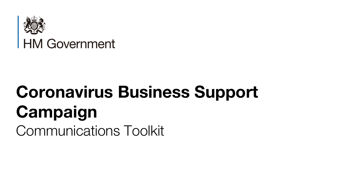

# **Coronavirus Business Support Campaign**

Communications Toolkit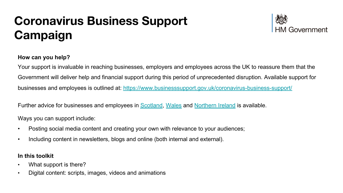# **Coronavirus Business Support Campaign**



#### **How can you help?**

Your support is invaluable in reaching businesses, employers and employees across the UK to reassure them that the Government will deliver help and financial support during this period of unprecedented disruption. Available support for businesses and employees is outlined at: <https://www.businesssupport.gov.uk/coronavirus-business-support/>

Further advice for businesses and employees in [Scotland,](https://www.gov.scot/news/gbp-2-2-billion-for-business/) [Wales](https://gov.wales/business-and-employers-coronavirus) and [Northern Ireland](https://www.economy-ni.gov.uk/) is available.

Ways you can support include:

- Posting social media content and creating your own with relevance to your audiences;
- Including content in newsletters, blogs and online (both internal and external).

#### **In this toolkit**

- What support is there?
- Digital content: scripts, images, videos and animations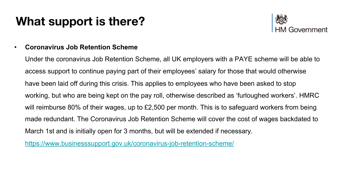

#### • **Coronavirus Job Retention Scheme**

Under the coronavirus Job Retention Scheme, all UK employers with a PAYE scheme will be able to access support to continue paying part of their employees' salary for those that would otherwise have been laid off during this crisis. This applies to employees who have been asked to stop working, but who are being kept on the pay roll, otherwise described as 'furloughed workers'. HMRC will reimburse 80% of their wages, up to £2,500 per month. This is to safeguard workers from being made redundant. The Coronavirus Job Retention Scheme will cover the cost of wages backdated to March 1st and is initially open for 3 months, but will be extended if necessary.

<https://www.businesssupport.gov.uk/coronavirus-job-retention-scheme/>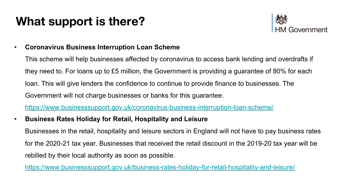

• **Coronavirus Business Interruption Loan Scheme**

This scheme will help businesses affected by coronavirus to access bank lending and overdrafts if they need to. For loans up to £5 million, the Government is providing a guarantee of 80% for each loan. This will give lenders the confidence to continue to provide finance to businesses. The Government will not charge businesses or banks for this guarantee.

<https://www.businesssupport.gov.uk/coronavirus-business-interruption-loan-scheme/>

• **Business Rates Holiday for Retail, Hospitality and Leisure**

Businesses in the retail, hospitality and leisure sectors in England will not have to pay business rates for the 2020-21 tax year. Businesses that received the retail discount in the 2019-20 tax year will be rebilled by their local authority as soon as possible.

<https://www.businesssupport.gov.uk/business-rates-holiday-for-retail-hospitality-and-leisure/>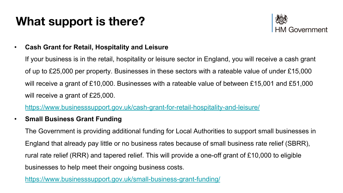

• **Cash Grant for Retail, Hospitality and Leisure**

If your business is in the retail, hospitality or leisure sector in England, you will receive a cash grant of up to £25,000 per property. Businesses in these sectors with a rateable value of under £15,000 will receive a grant of £10,000. Businesses with a rateable value of between £15,001 and £51,000 will receive a grant of £25,000.

<https://www.businesssupport.gov.uk/cash-grant-for-retail-hospitality-and-leisure/>

• **Small Business Grant Funding**

The Government is providing additional funding for Local Authorities to support small businesses in England that already pay little or no business rates because of small business rate relief (SBRR), rural rate relief (RRR) and tapered relief. This will provide a one-off grant of £10,000 to eligible businesses to help meet their ongoing business costs.

<https://www.businesssupport.gov.uk/small-business-grant-funding/>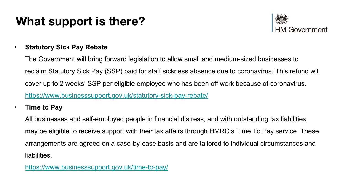

#### • **Statutory Sick Pay Rebate**

The Government will bring forward legislation to allow small and medium-sized businesses to reclaim Statutory Sick Pay (SSP) paid for staff sickness absence due to coronavirus. This refund will cover up to 2 weeks' SSP per eligible employee who has been off work because of coronavirus. <https://www.businesssupport.gov.uk/statutory-sick-pay-rebate/>

• **Time to Pay**

All businesses and self-employed people in financial distress, and with outstanding tax liabilities, may be eligible to receive support with their tax affairs through HMRC's Time To Pay service. These arrangements are agreed on a case-by-case basis and are tailored to individual circumstances and liabilities.

<https://www.businesssupport.gov.uk/time-to-pay/>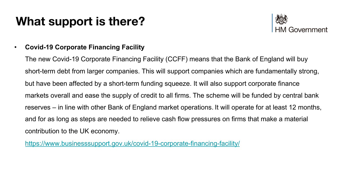

#### • **Covid-19 Corporate Financing Facility**

The new Covid-19 Corporate Financing Facility (CCFF) means that the Bank of England will buy short-term debt from larger companies. This will support companies which are fundamentally strong, but have been affected by a short-term funding squeeze. It will also support corporate finance markets overall and ease the supply of credit to all firms. The scheme will be funded by central bank reserves – in line with other Bank of England market operations. It will operate for at least 12 months, and for as long as steps are needed to relieve cash flow pressures on firms that make a material contribution to the UK economy.

<https://www.businesssupport.gov.uk/covid-19-corporate-financing-facility/>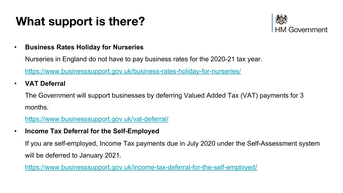

• **Business Rates Holiday for Nurseries**

Nurseries in England do not have to pay business rates for the 2020-21 tax year.

<https://www.businesssupport.gov.uk/business-rates-holiday-for-nurseries/>

• **VAT Deferral**

The Government will support businesses by deferring Valued Added Tax (VAT) payments for 3 months.

<https://www.businesssupport.gov.uk/vat-deferral/>

• **Income Tax Deferral for the Self-Employed**

If you are self-employed, Income Tax payments due in July 2020 under the Self-Assessment system will be deferred to January 2021.

<https://www.businesssupport.gov.uk/income-tax-deferral-for-the-self-employed/>